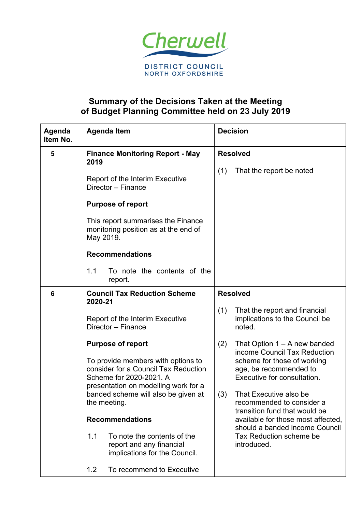

## **Summary of the Decisions Taken at the Meeting of Budget Planning Committee held on 23 July 2019**

| Agenda<br>Item No. | <b>Agenda Item</b>                                                                                                                                                                                                                                                                                                                                                                                                                                                       | <b>Decision</b>                                                                                                                                                                                                                                                                                                                                                                                                                                                                       |
|--------------------|--------------------------------------------------------------------------------------------------------------------------------------------------------------------------------------------------------------------------------------------------------------------------------------------------------------------------------------------------------------------------------------------------------------------------------------------------------------------------|---------------------------------------------------------------------------------------------------------------------------------------------------------------------------------------------------------------------------------------------------------------------------------------------------------------------------------------------------------------------------------------------------------------------------------------------------------------------------------------|
| 5                  | <b>Finance Monitoring Report - May</b><br>2019<br>Report of the Interim Executive<br>Director - Finance<br><b>Purpose of report</b><br>This report summarises the Finance<br>monitoring position as at the end of<br>May 2019.<br><b>Recommendations</b><br>To note the contents of the<br>1.1<br>report.                                                                                                                                                                | <b>Resolved</b><br>(1)<br>That the report be noted                                                                                                                                                                                                                                                                                                                                                                                                                                    |
| 6                  | <b>Council Tax Reduction Scheme</b><br>2020-21<br>Report of the Interim Executive<br>Director - Finance<br><b>Purpose of report</b><br>To provide members with options to<br>consider for a Council Tax Reduction<br>Scheme for 2020-2021. A<br>presentation on modelling work for a<br>banded scheme will also be given at<br>the meeting.<br><b>Recommendations</b><br>1.1<br>To note the contents of the<br>report and any financial<br>implications for the Council. | <b>Resolved</b><br>(1)<br>That the report and financial<br>implications to the Council be<br>noted.<br>(2)<br>That Option $1 - A$ new banded<br>income Council Tax Reduction<br>scheme for those of working<br>age, be recommended to<br>Executive for consultation.<br>(3)<br>That Executive also be<br>recommended to consider a<br>transition fund that would be<br>available for those most affected,<br>should a banded income Council<br>Tax Reduction scheme be<br>introduced. |
|                    | 1.2<br>To recommend to Executive                                                                                                                                                                                                                                                                                                                                                                                                                                         |                                                                                                                                                                                                                                                                                                                                                                                                                                                                                       |